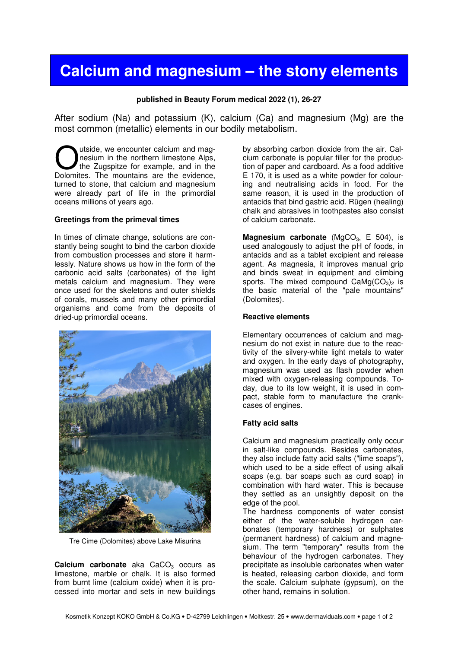# **Calcium and magnesium – the stony elements**

# **published in Beauty Forum medical 2022 (1), 26-27**

After sodium (Na) and potassium (K), calcium (Ca) and magnesium (Mg) are the most common (metallic) elements in our bodily metabolism.

utside, we encounter calcium and magnesium in the northern limestone Alps, the Zugspitze for example, and in the Utside, we encounter calcium and magnesium in the northern limestone Alps, the Zugspitze for example, and in the Dolomites. The mountains are the evidence, turned to stone, that calcium and magnesium were already part of life in the primordial oceans millions of years ago.

#### **Greetings from the primeval times**

In times of climate change, solutions are constantly being sought to bind the carbon dioxide from combustion processes and store it harmlessly. Nature shows us how in the form of the carbonic acid salts (carbonates) of the light metals calcium and magnesium. They were once used for the skeletons and outer shields of corals, mussels and many other primordial organisms and come from the deposits of dried-up primordial oceans.



Tre Cime (Dolomites) above Lake Misurina

**Calcium carbonate** aka CaCO<sub>3</sub> occurs as limestone, marble or chalk. It is also formed from burnt lime (calcium oxide) when it is processed into mortar and sets in new buildings

by absorbing carbon dioxide from the air. Calcium carbonate is popular filler for the production of paper and cardboard. As a food additive E 170, it is used as a white powder for colouring and neutralising acids in food. For the same reason, it is used in the production of antacids that bind gastric acid. Rügen (healing) chalk and abrasives in toothpastes also consist of calcium carbonate.

**Magnesium carbonate** (MgCO<sub>3</sub>, E 504), is used analogously to adjust the pH of foods, in antacids and as a tablet excipient and release agent. As magnesia, it improves manual grip and binds sweat in equipment and climbing sports. The mixed compound  $CaMg(CO<sub>3</sub>)<sub>2</sub>$  is the basic material of the "pale mountains" (Dolomites).

#### **Reactive elements**

Elementary occurrences of calcium and magnesium do not exist in nature due to the reactivity of the silvery-white light metals to water and oxygen. In the early days of photography, magnesium was used as flash powder when mixed with oxygen-releasing compounds. Today, due to its low weight, it is used in compact, stable form to manufacture the crankcases of engines.

### **Fatty acid salts**

Calcium and magnesium practically only occur in salt-like compounds. Besides carbonates, they also include fatty acid salts ("lime soaps"), which used to be a side effect of using alkali soaps (e.g. bar soaps such as curd soap) in combination with hard water. This is because they settled as an unsightly deposit on the edge of the pool.

The hardness components of water consist either of the water-soluble hydrogen carbonates (temporary hardness) or sulphates (permanent hardness) of calcium and magnesium. The term "temporary" results from the behaviour of the hydrogen carbonates. They precipitate as insoluble carbonates when water is heated, releasing carbon dioxide, and form the scale. Calcium sulphate (gypsum), on the other hand, remains in solution.